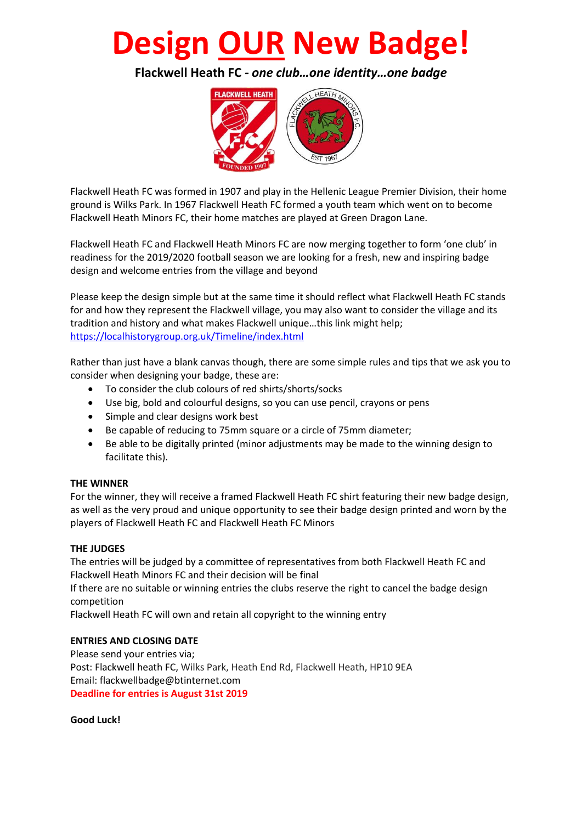# **Design OUR New Badge!**

**Flackwell Heath FC** *- one club…one identity…one badge*



Flackwell Heath FC was formed in 1907 and play in the Hellenic League Premier Division, their home ground is Wilks Park. In 1967 Flackwell Heath FC formed a youth team which went on to become Flackwell Heath Minors FC, their home matches are played at Green Dragon Lane.

Flackwell Heath FC and Flackwell Heath Minors FC are now merging together to form 'one club' in readiness for the 2019/2020 football season we are looking for a fresh, new and inspiring badge design and welcome entries from the village and beyond

Please keep the design simple but at the same time it should reflect what Flackwell Heath FC stands for and how they represent the Flackwell village, you may also want to consider the village and its tradition and history and what makes Flackwell unique…this link might help; <https://localhistorygroup.org.uk/Timeline/index.html>

Rather than just have a blank canvas though, there are some simple rules and tips that we ask you to consider when designing your badge, these are:

- To consider the club colours of red shirts/shorts/socks
- Use big, bold and colourful designs, so you can use pencil, crayons or pens
- Simple and clear designs work best
- Be capable of reducing to 75mm square or a circle of 75mm diameter;
- Be able to be digitally printed (minor adjustments may be made to the winning design to facilitate this).

### **THE WINNER**

For the winner, they will receive a framed Flackwell Heath FC shirt featuring their new badge design, as well as the very proud and unique opportunity to see their badge design printed and worn by the players of Flackwell Heath FC and Flackwell Heath FC Minors

### **THE JUDGES**

The entries will be judged by a committee of representatives from both Flackwell Heath FC and Flackwell Heath Minors FC and their decision will be final

If there are no suitable or winning entries the clubs reserve the right to cancel the badge design competition

Flackwell Heath FC will own and retain all copyright to the winning entry

### **ENTRIES AND CLOSING DATE**

Please send your entries via; Post: Flackwell heath FC, Wilks Park, Heath End Rd, Flackwell Heath, HP10 9EA Email: flackwellbadge@btinternet.com **Deadline for entries is August 31st 2019**

**Good Luck!**